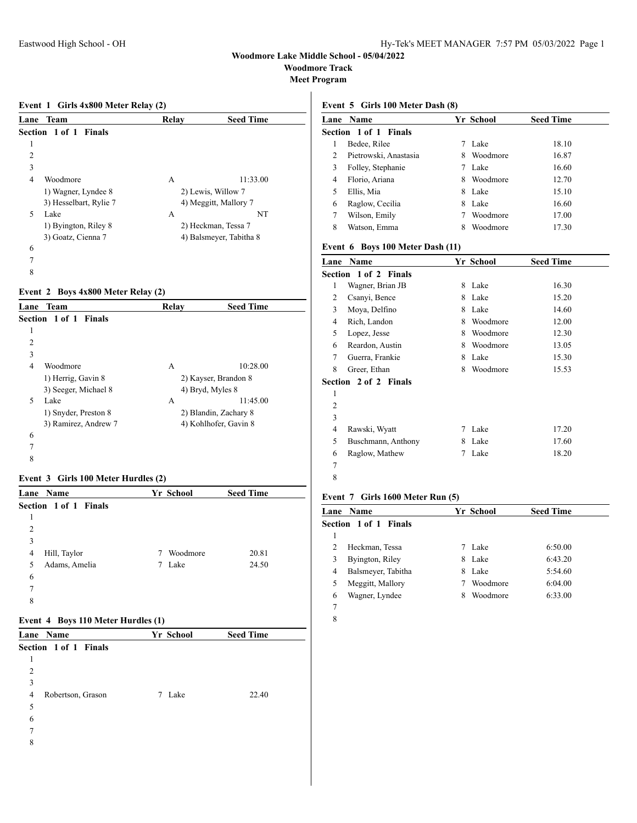**Woodmore Track**

**Meet Program**

### **Event 1 Girls 4x800 Meter Relay (2)**

| Lane | Team                         | Relay | <b>Seed Time</b>        |
|------|------------------------------|-------|-------------------------|
|      | <b>Section 1 of 1 Finals</b> |       |                         |
| 1    |                              |       |                         |
| 2    |                              |       |                         |
| 3    |                              |       |                         |
| 4    | Woodmore                     | А     | 11:33.00                |
|      | 1) Wagner, Lyndee 8          |       | 2) Lewis, Willow 7      |
|      | 3) Hesselbart, Rylie 7       |       | 4) Meggitt, Mallory 7   |
| 5    | Lake                         | A     | NT                      |
|      | 1) Byington, Riley 8         |       | 2) Heckman, Tessa 7     |
|      | 3) Goatz, Cienna 7           |       | 4) Balsmeyer, Tabitha 8 |
| 6    |                              |       |                         |
| 7    |                              |       |                         |
|      |                              |       |                         |

## **Event 2 Boys 4x800 Meter Relay (2)**

| Lane | <b>Team</b>           | Relay | <b>Seed Time</b>      |  |
|------|-----------------------|-------|-----------------------|--|
|      | Section 1 of 1 Finals |       |                       |  |
| 1    |                       |       |                       |  |
| 2    |                       |       |                       |  |
| 3    |                       |       |                       |  |
| 4    | Woodmore              | А     | 10:28.00              |  |
|      | 1) Herrig, Gavin 8    |       | 2) Kayser, Brandon 8  |  |
|      | 3) Seeger, Michael 8  |       | 4) Bryd, Myles 8      |  |
| 5    | Lake                  | A     | 11:45.00              |  |
|      | 1) Snyder, Preston 8  |       | 2) Blandin, Zachary 8 |  |
|      | 3) Ramirez, Andrew 7  |       | 4) Kohlhofer, Gavin 8 |  |
| 6    |                       |       |                       |  |
| 7    |                       |       |                       |  |
| 8    |                       |       |                       |  |

## **Event 3 Girls 100 Meter Hurdles (2)**

|   | Lane Name             | Yr School | <b>Seed Time</b>  |  |
|---|-----------------------|-----------|-------------------|--|
|   | Section 1 of 1 Finals |           |                   |  |
|   |                       |           |                   |  |
| 2 |                       |           |                   |  |
| 3 |                       |           |                   |  |
| 4 | Hill, Taylor          | 7         | Woodmore<br>20.81 |  |
| 5 | Adams, Amelia         | Lake<br>7 | 24.50             |  |
| 6 |                       |           |                   |  |
| 7 |                       |           |                   |  |
| 8 |                       |           |                   |  |

### **Event 4 Boys 110 Meter Hurdles (1)**

| Lane Name              | Yr School | <b>Seed Time</b> |
|------------------------|-----------|------------------|
| Section 1 of 1 Finals  |           |                  |
| 1                      |           |                  |
| $\overline{c}$         |           |                  |
| 3                      |           |                  |
| Robertson, Grason<br>4 | Lake<br>7 | 22.40            |
| 5                      |           |                  |
| 6                      |           |                  |
| 7                      |           |                  |
| 8                      |           |                  |

## **Event 5 Girls 100 Meter Dash (8)**

|   | <b>Lane Name</b>             | Yr School     | <b>Seed Time</b> |  |
|---|------------------------------|---------------|------------------|--|
|   | <b>Section 1 of 1 Finals</b> |               |                  |  |
|   | Bedee, Rilee                 | Lake          | 18.10            |  |
| 2 | Pietrowski, Anastasia        | Woodmore<br>8 | 16.87            |  |
| 3 | Folley, Stephanie            | Lake          | 16.60            |  |
| 4 | Florio, Ariana               | Woodmore<br>8 | 12.70            |  |
|   | Ellis, Mia                   | Lake<br>8     | 15.10            |  |
| 6 | Raglow, Cecilia              | Lake<br>8     | 16.60            |  |
|   | Wilson, Emily                | Woodmore      | 17.00            |  |
| 8 | Watson, Emma                 | Woodmore<br>8 | 17.30            |  |

## **Event 6 Boys 100 Meter Dash (11)**

| Lane | Name                         |   | Yr School | <b>Seed Time</b> |
|------|------------------------------|---|-----------|------------------|
|      | Section 1 of 2 Finals        |   |           |                  |
| 1    | Wagner, Brian JB             | 8 | Lake      | 16.30            |
| 2    | Csanyi, Bence                | 8 | Lake      | 15.20            |
| 3    | Moya, Delfino                | 8 | Lake      | 14.60            |
| 4    | Rich, Landon                 | 8 | Woodmore  | 12.00            |
| 5    | Lopez, Jesse                 | 8 | Woodmore  | 12.30            |
| 6    | Reardon, Austin              | 8 | Woodmore  | 13.05            |
| 7    | Guerra, Frankie              | 8 | Lake      | 15.30            |
| 8    | Greer, Ethan                 | 8 | Woodmore  | 15.53            |
|      | <b>Section 2 of 2 Finals</b> |   |           |                  |
| 1    |                              |   |           |                  |
| 2    |                              |   |           |                  |
| 3    |                              |   |           |                  |
| 4    | Rawski, Wyatt                | 7 | Lake      | 17.20            |
| 5    | Buschmann, Anthony           | 8 | Lake      | 17.60            |
| 6    | Raglow, Mathew               | 7 | Lake      | 18.20            |
| 7    |                              |   |           |                  |
| 8    |                              |   |           |                  |

## **Event 7 Girls 1600 Meter Run (5)**

| <b>Lane Name</b>        | Yr School     | <b>Seed Time</b> |  |
|-------------------------|---------------|------------------|--|
| Section 1 of 1 Finals   |               |                  |  |
|                         |               |                  |  |
| Heckman, Tessa          | Lake          | 6:50.00          |  |
| Byington, Riley<br>3    | Lake<br>8     | 6:43.20          |  |
| Balsmeyer, Tabitha<br>4 | Lake<br>8     | 5:54.60          |  |
| Meggitt, Mallory<br>5   | Woodmore      | 6:04.00          |  |
| Wagner, Lyndee<br>6     | Woodmore<br>8 | 6:33.00          |  |
|                         |               |                  |  |
|                         |               |                  |  |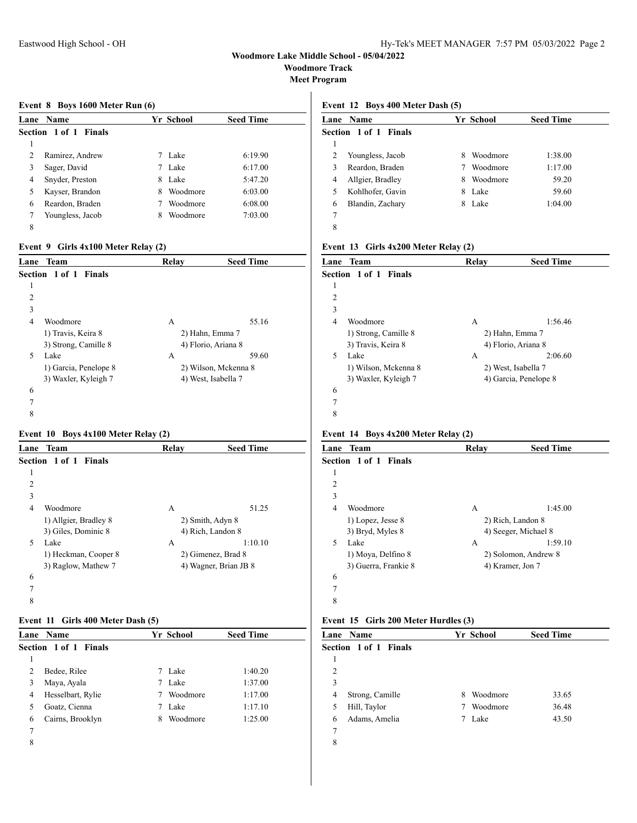**Woodmore Track**

**Meet Program**

#### **Event 8 Boys 1600 Meter Run (6)**

|   | Lane Name             |   | Yr School | <b>Seed Time</b> |  |
|---|-----------------------|---|-----------|------------------|--|
|   | Section 1 of 1 Finals |   |           |                  |  |
| 1 |                       |   |           |                  |  |
| 2 | Ramirez, Andrew       |   | Lake      | 6:19.90          |  |
| 3 | Sager, David          |   | Lake      | 6:17.00          |  |
| 4 | Snyder, Preston       | 8 | Lake      | 5:47.20          |  |
| 5 | Kayser, Brandon       | 8 | Woodmore  | 6:03.00          |  |
| 6 | Reardon, Braden       |   | Woodmore  | 6:08.00          |  |
|   | Youngless, Jacob      | 8 | Woodmore  | 7:03.00          |  |
| 8 |                       |   |           |                  |  |

## **Event 9 Girls 4x100 Meter Relay (2)**

| Lane | Team                  | Relay | <b>Seed Time</b>     |
|------|-----------------------|-------|----------------------|
|      | Section 1 of 1 Finals |       |                      |
| 1    |                       |       |                      |
| 2    |                       |       |                      |
| 3    |                       |       |                      |
| 4    | Woodmore              | A     | 55.16                |
|      | 1) Travis, Keira 8    |       | 2) Hahn, Emma 7      |
|      | 3) Strong, Camille 8  |       | 4) Florio, Ariana 8  |
| 5    | Lake                  | A     | 59.60                |
|      | 1) Garcia, Penelope 8 |       | 2) Wilson, Mckenna 8 |
|      | 3) Waxler, Kyleigh 7  |       | 4) West, Isabella 7  |
| 6    |                       |       |                      |
| 7    |                       |       |                      |
| 8    |                       |       |                      |

### **Event 10 Boys 4x100 Meter Relay (2)**

| Lane                     | Team                  | Relay | <b>Seed Time</b>      |
|--------------------------|-----------------------|-------|-----------------------|
|                          | Section 1 of 1 Finals |       |                       |
| 1                        |                       |       |                       |
| 2                        |                       |       |                       |
| 3                        |                       |       |                       |
| 4                        | Woodmore              | А     | 51.25                 |
|                          | 1) Allgier, Bradley 8 |       | 2) Smith, Adyn 8      |
|                          | 3) Giles, Dominic 8   |       | 4) Rich, Landon 8     |
| $\overline{\phantom{0}}$ | Lake                  | А     | 1:10.10               |
|                          | 1) Heckman, Cooper 8  |       | 2) Gimenez, Brad 8    |
|                          | 3) Raglow, Mathew 7   |       | 4) Wagner, Brian JB 8 |
| 6                        |                       |       |                       |
| $\overline{7}$           |                       |       |                       |
| 8                        |                       |       |                       |
|                          |                       |       |                       |

### **Event 11 Girls 400 Meter Dash (5)**

|   | Lane Name             |   | Yr School | <b>Seed Time</b> |
|---|-----------------------|---|-----------|------------------|
|   | Section 1 of 1 Finals |   |           |                  |
|   |                       |   |           |                  |
| 2 | Bedee, Rilee          |   | Lake      | 1:40.20          |
| 3 | Maya, Ayala           |   | Lake      | 1:37.00          |
| 4 | Hesselbart, Rylie     |   | Woodmore  | 1:17.00          |
| 5 | Goatz, Cienna         |   | Lake      | 1:17.10          |
| 6 | Cairns, Brooklyn      | 8 | Woodmore  | 1:25.00          |
| 7 |                       |   |           |                  |
| 8 |                       |   |           |                  |

## **Event 12 Boys 400 Meter Dash (5)**

|   | <b>Lane Name</b>      |   | Yr School | <b>Seed Time</b> |  |
|---|-----------------------|---|-----------|------------------|--|
|   | Section 1 of 1 Finals |   |           |                  |  |
|   |                       |   |           |                  |  |
| 2 | Youngless, Jacob      | 8 | Woodmore  | 1:38.00          |  |
| 3 | Reardon, Braden       |   | Woodmore  | 1:17.00          |  |
| 4 | Allgier, Bradley      | 8 | Woodmore  | 59.20            |  |
|   | Kohlhofer, Gavin      | 8 | Lake      | 59.60            |  |
| 6 | Blandin, Zachary      | 8 | Lake      | 1:04.00          |  |
| 7 |                       |   |           |                  |  |
| 8 |                       |   |           |                  |  |

### **Event 13 Girls 4x200 Meter Relay (2)**

| Lane | Team                  | Relay | <b>Seed Time</b>      |  |
|------|-----------------------|-------|-----------------------|--|
|      | Section 1 of 1 Finals |       |                       |  |
| 1    |                       |       |                       |  |
| 2    |                       |       |                       |  |
| 3    |                       |       |                       |  |
| 4    | Woodmore              | А     | 1:56.46               |  |
|      | 1) Strong, Camille 8  |       | 2) Hahn, Emma 7       |  |
|      | 3) Travis, Keira 8    |       | 4) Florio, Ariana 8   |  |
| 5    | Lake                  | А     | 2:06.60               |  |
|      | 1) Wilson, Mckenna 8  |       | 2) West, Isabella 7   |  |
|      | 3) Waxler, Kyleigh 7  |       | 4) Garcia, Penelope 8 |  |
| 6    |                       |       |                       |  |
| 7    |                       |       |                       |  |
| 8    |                       |       |                       |  |

### **Event 14 Boys 4x200 Meter Relay (2)**

| Lane | <b>Team</b>           | Relay | <b>Seed Time</b>     |
|------|-----------------------|-------|----------------------|
|      | Section 1 of 1 Finals |       |                      |
| 1    |                       |       |                      |
| 2    |                       |       |                      |
| 3    |                       |       |                      |
| 4    | Woodmore              | A     | 1:45.00              |
|      | 1) Lopez, Jesse 8     |       | 2) Rich, Landon 8    |
|      | 3) Bryd, Myles 8      |       | 4) Seeger, Michael 8 |
| 5    | Lake                  | А     | 1:59.10              |
|      | 1) Moya, Delfino 8    |       | 2) Solomon, Andrew 8 |
|      | 3) Guerra, Frankie 8  |       | 4) Kramer, Jon 7     |
| 6    |                       |       |                      |
| 7    |                       |       |                      |
| 8    |                       |       |                      |

#### **Event 15 Girls 200 Meter Hurdles (3)**

| <b>Lane Name</b>             |   |          | <b>Seed Time</b> |  |
|------------------------------|---|----------|------------------|--|
| <b>Section 1 of 1 Finals</b> |   |          |                  |  |
|                              |   |          |                  |  |
|                              |   |          |                  |  |
|                              |   |          |                  |  |
| Strong, Camille              | 8 | Woodmore | 33.65            |  |
| Hill, Taylor                 | 7 | Woodmore | 36.48            |  |
| Adams, Amelia                | 7 | Lake     | 43.50            |  |
|                              |   |          |                  |  |
|                              |   |          |                  |  |
|                              |   |          | Yr School        |  |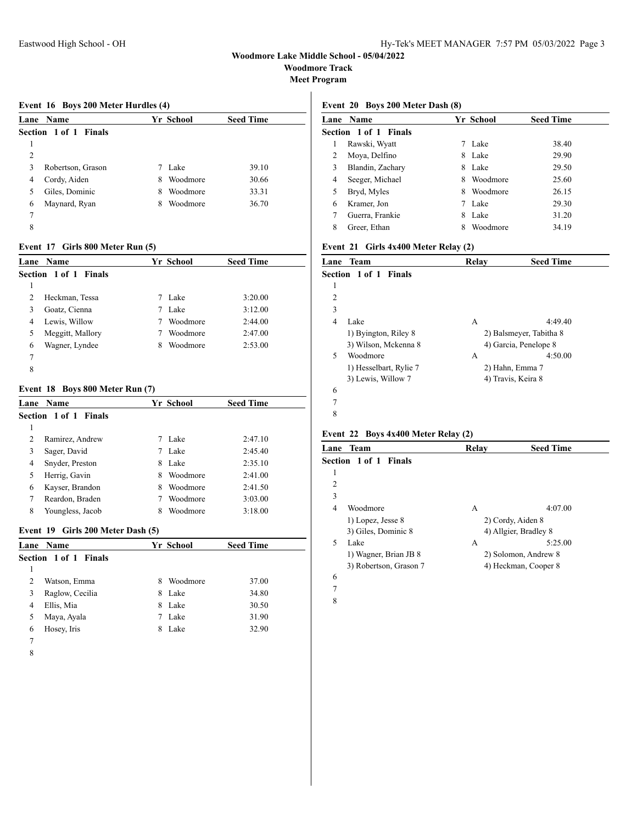**Woodmore Track**

**Meet Program**

## **Event 16 Boys 200 Meter Hurdles (4)**

|   | <b>Lane Name</b>      |   | Yr School | <b>Seed Time</b> |
|---|-----------------------|---|-----------|------------------|
|   | Section 1 of 1 Finals |   |           |                  |
|   |                       |   |           |                  |
| 2 |                       |   |           |                  |
| 3 | Robertson, Grason     |   | Lake      | 39.10            |
| 4 | Cordy, Aiden          | 8 | Woodmore  | 30.66            |
| 5 | Giles, Dominic        | 8 | Woodmore  | 33.31            |
| 6 | Maynard, Ryan         | 8 | Woodmore  | 36.70            |
| 7 |                       |   |           |                  |
| 8 |                       |   |           |                  |

## **Event 17 Girls 800 Meter Run (5)**

|   | <b>Lane Name</b>      |   | Yr School | <b>Seed Time</b> |
|---|-----------------------|---|-----------|------------------|
|   | Section 1 of 1 Finals |   |           |                  |
|   |                       |   |           |                  |
| 2 | Heckman, Tessa        |   | Lake      | 3:20.00          |
| 3 | Goatz, Cienna         | 7 | Lake      | 3:12.00          |
| 4 | Lewis, Willow         | 7 | Woodmore  | 2:44.00          |
| 5 | Meggitt, Mallory      |   | Woodmore  | 2:47.00          |
| 6 | Wagner, Lyndee        | 8 | Woodmore  | 2:53.00          |
| 7 |                       |   |           |                  |
| 8 |                       |   |           |                  |

## **Event 18 Boys 800 Meter Run (7)**

|   | <b>Lane Name</b>      |   | Yr School | <b>Seed Time</b> |
|---|-----------------------|---|-----------|------------------|
|   | Section 1 of 1 Finals |   |           |                  |
| 1 |                       |   |           |                  |
|   | Ramirez, Andrew       |   | Lake      | 2:47.10          |
| 3 | Sager, David          | 7 | Lake      | 2:45.40          |
| 4 | Snyder, Preston       | 8 | Lake      | 2:35.10          |
| 5 | Herrig, Gavin         | 8 | Woodmore  | 2:41.00          |
| 6 | Kayser, Brandon       | 8 | Woodmore  | 2:41.50          |
|   | Reardon, Braden       |   | Woodmore  | 3:03.00          |
| 8 | Youngless, Jacob      | 8 | Woodmore  | 3:18.00          |

## **Event 19 Girls 200 Meter Dash (5)**

|   | <b>Lane</b> Name             |   | Yr School | <b>Seed Time</b> |
|---|------------------------------|---|-----------|------------------|
|   | <b>Section 1 of 1 Finals</b> |   |           |                  |
|   |                              |   |           |                  |
|   | Watson, Emma                 | 8 | Woodmore  | 37.00            |
| 3 | Raglow, Cecilia              | 8 | Lake      | 34.80            |
| 4 | Ellis, Mia                   | 8 | Lake      | 30.50            |
|   | Maya, Ayala                  |   | Lake      | 31.90            |
| 6 | Hosey, Iris                  | 8 | Lake      | 32.90            |
|   |                              |   |           |                  |

## **Event 20 Boys 200 Meter Dash (8)**

|   | <b>Lane Name</b>      |   | Yr School | <b>Seed Time</b> |
|---|-----------------------|---|-----------|------------------|
|   | Section 1 of 1 Finals |   |           |                  |
| 1 | Rawski, Wyatt         |   | Lake      | 38.40            |
| 2 | Moya, Delfino         | 8 | Lake      | 29.90            |
| 3 | Blandin, Zachary      | 8 | Lake      | 29.50            |
| 4 | Seeger, Michael       | 8 | Woodmore  | 25.60            |
|   | Bryd, Myles           | 8 | Woodmore  | 26.15            |
| 6 | Kramer, Jon           | 7 | Lake      | 29.30            |
|   | Guerra, Frankie       | 8 | Lake      | 31.20            |
| 8 | Greer, Ethan          | 8 | Woodmore  | 34.19            |

## **Event 21 Girls 4x400 Meter Relay (2)**

| Lane | <b>Team</b>                  | Relay | <b>Seed Time</b>        |
|------|------------------------------|-------|-------------------------|
|      | <b>Section 1 of 1 Finals</b> |       |                         |
| 1    |                              |       |                         |
| 2    |                              |       |                         |
| 3    |                              |       |                         |
| 4    | Lake                         | А     | 4:49.40                 |
|      | 1) Byington, Riley 8         |       | 2) Balsmeyer, Tabitha 8 |
|      | 3) Wilson, Mckenna 8         |       | 4) Garcia, Penelope 8   |
| 5    | Woodmore                     | А     | 4:50.00                 |
|      | 1) Hesselbart, Rylie 7       |       | 2) Hahn, Emma 7         |
|      | 3) Lewis, Willow 7           |       | 4) Travis, Keira 8      |
| 6    |                              |       |                         |
| 7    |                              |       |                         |
| 8    |                              |       |                         |

### **Event 22 Boys 4x400 Meter Relay (2)**

|   | Lane Team                    | Relav | <b>Seed Time</b>      |
|---|------------------------------|-------|-----------------------|
|   | <b>Section 1 of 1 Finals</b> |       |                       |
| 1 |                              |       |                       |
| 2 |                              |       |                       |
| 3 |                              |       |                       |
| 4 | Woodmore                     | А     | 4:07.00               |
|   | 1) Lopez, Jesse 8            |       | 2) Cordy, Aiden 8     |
|   | 3) Giles, Dominic 8          |       | 4) Allgier, Bradley 8 |
| 5 | Lake                         | А     | 5:25.00               |
|   | 1) Wagner, Brian JB 8        |       | 2) Solomon, Andrew 8  |
|   | 3) Robertson, Grason 7       |       | 4) Heckman, Cooper 8  |
| 6 |                              |       |                       |

- 
-